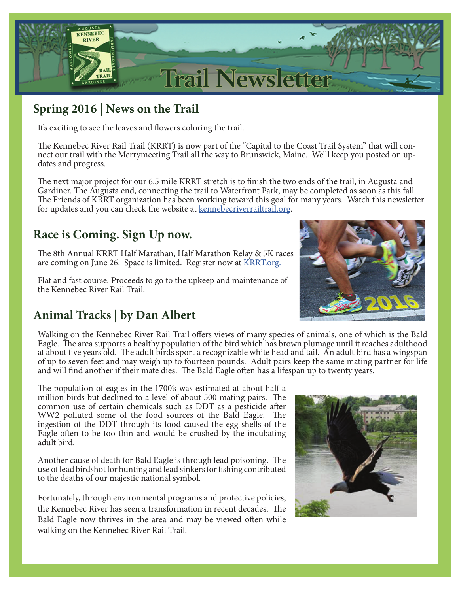

# **Spring 2016 | News on the Trail**

It's exciting to see the leaves and flowers coloring the trail.

The Kennebec River Rail Trail (KRRT) is now part of the "Capital to the Coast Trail System" that will connect our trail with the Merrymeeting Trail all the way to Brunswick, Maine. We'll keep you posted on updates and progress.

The next major project for our 6.5 mile KRRT stretch is to finish the two ends of the trail, in Augusta and Gardiner. The Augusta end, connecting the trail to Waterfront Park, may be completed as soon as this fall. The Friends of KRRT organization has been working toward this goal for many years. Watch this newsletter for updates and you can check the website at **kennebecriverrailtrail.org**.

# **Race is Coming. Sign Up now.**

The 8th Annual KRRT Half Marathan, Half Marathon Relay & 5K races are coming on June 26. Space is limited. Register now at **KRRT**.org.

Flat and fast course. Proceeds to go to the upkeep and maintenance of the Kennebec River Rail Trail.

# **Animal Tracks | by Dan Albert**



Walking on the Kennebec River Rail Trail offers views of many species of animals, one of which is the Bald Eagle. The area supports a healthy population of the bird which has brown plumage until it reaches adulthood at about five years old. The adult birds sport a recognizable white head and tail. An adult bird has a wingspan of up to seven feet and may weigh up to fourteen pounds. Adult pairs keep the same mating partner for life and will find another if their mate dies. The Bald Eagle often has a lifespan up to twenty years.

The population of eagles in the 1700's was estimated at about half a million birds but declined to a level of about 500 mating pairs. The common use of certain chemicals such as DDT as a pesticide after WW2 polluted some of the food sources of the Bald Eagle. The ingestion of the DDT through its food caused the egg shells of the Eagle often to be too thin and would be crushed by the incubating adult bird.

Another cause of death for Bald Eagle is through lead poisoning. The use of lead birdshot for hunting and lead sinkers for fishing contributed to the deaths of our majestic national symbol.

Fortunately, through environmental programs and protective policies, the Kennebec River has seen a transformation in recent decades. The Bald Eagle now thrives in the area and may be viewed often while walking on the Kennebec River Rail Trail.